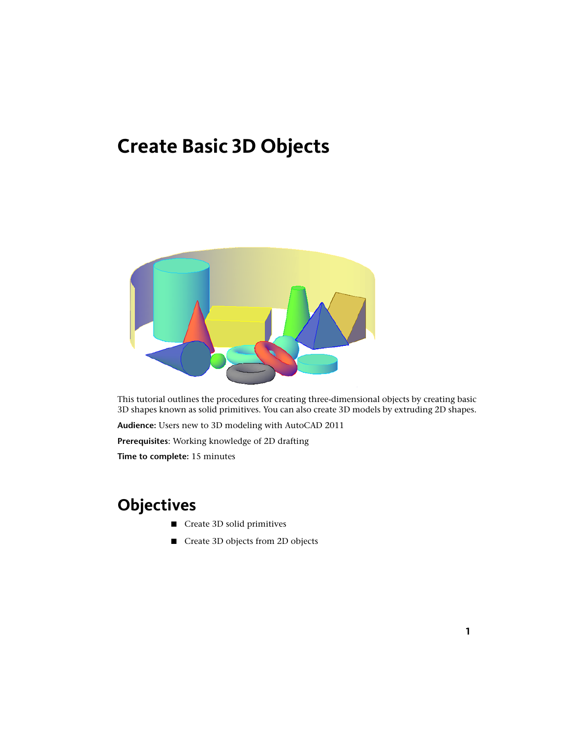# **Create Basic 3D Objects**



This tutorial outlines the procedures for creating three-dimensional objects by creating basic 3D shapes known as solid primitives. You can also create 3D models by extruding 2D shapes.

**Audience:** Users new to 3D modeling with AutoCAD 2011

**Prerequisites**: Working knowledge of 2D drafting

**Time to complete:** 15 minutes

# **Objectives**

- Create 3D solid primitives
- Create 3D objects from 2D objects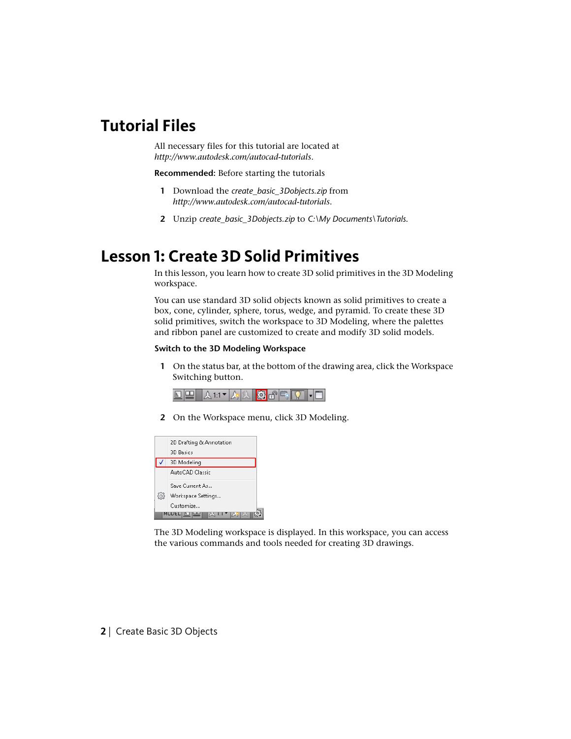## **Tutorial Files**

All necessary files for this tutorial are located at *<http://www.autodesk.com/autocad-tutorials>*.

**Recommended:** Before starting the tutorials

- **1** Download the *create\_basic\_3Dobjects.zip* from *<http://www.autodesk.com/autocad-tutorials>*.
- **2** Unzip *create\_basic\_3Dobjects.zip* to *C:\My Documents\Tutorials*.

## **Lesson 1: Create 3D Solid Primitives**

In this lesson, you learn how to create 3D solid primitives in the 3D Modeling workspace.

You can use standard 3D solid objects known as solid primitives to create a box, cone, cylinder, sphere, torus, wedge, and pyramid. To create these 3D solid primitives, switch the workspace to 3D Modeling, where the palettes and ribbon panel are customized to create and modify 3D solid models.

#### **Switch to the 3D Modeling Workspace**

**1** On the status bar, at the bottom of the drawing area, click the Workspace Switching button.

|--|--|--|--|--|--|--|--|--|--|--|--|

**2** On the Workspace menu, click 3D Modeling.



The 3D Modeling workspace is displayed. In this workspace, you can access the various commands and tools needed for creating 3D drawings.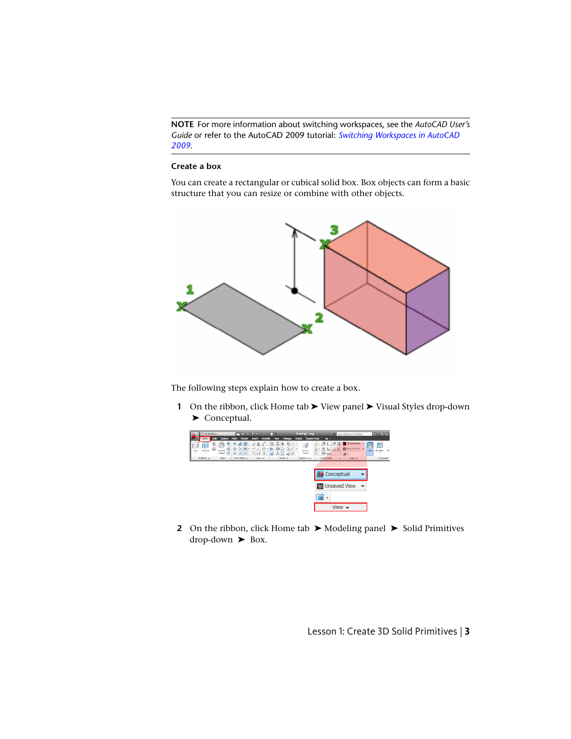**NOTE** For more information about switching workspaces, see the *AutoCAD User's Guide* or refer to the AutoCAD 2009 tutorial: *[Switching Workspaces in AutoCAD](http://usa.autodesk.com/adsk/servlet/item?siteID=123112&id=10898978&linkID=9240615) [2009](http://usa.autodesk.com/adsk/servlet/item?siteID=123112&id=10898978&linkID=9240615)*.

#### **Create a box**

You can create a rectangular or cubical solid box. Box objects can form a basic structure that you can resize or combine with other objects.



The following steps explain how to create a box.

**1** On the ribbon, click Home tab ► View panel ► Visual Styles drop-down ▶ Conceptual.



**2** On the ribbon, click Home tab ► Modeling panel ► Solid Primitives  $drop-down$   $\triangleright$  Box.

Lesson 1: Create 3D Solid Primitives | **3**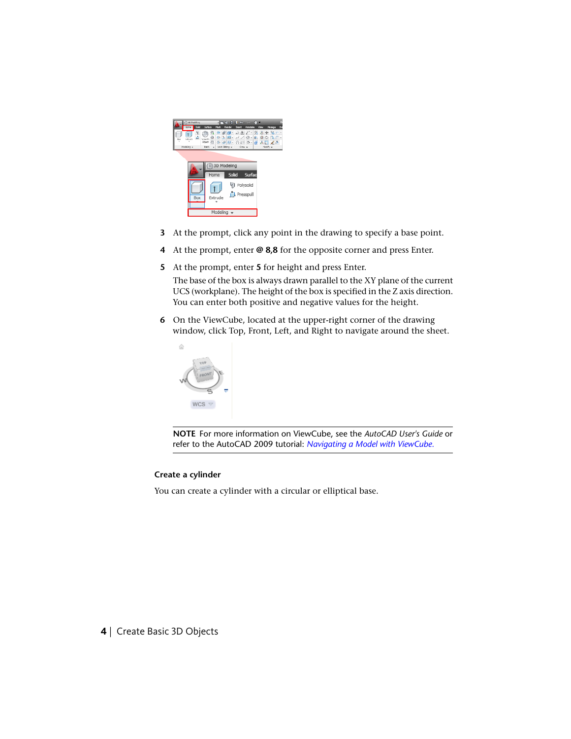

- **3** At the prompt, click any point in the drawing to specify a base point.
- **4** At the prompt, enter **@ 8,8** for the opposite corner and press Enter.
- **5** At the prompt, enter **5** for height and press Enter.

The base of the box is always drawn parallel to the XY plane of the current UCS (workplane). The height of the box is specified in the Z axis direction. You can enter both positive and negative values for the height.

**6** On the ViewCube, located at the upper-right corner of the drawing window, click Top, Front, Left, and Right to navigate around the sheet.



**NOTE** For more information on ViewCube, see the *AutoCAD User's Guide* or refer to the AutoCAD 2009 tutorial: *[Navigating a Model with ViewCube.](http://usa.autodesk.com/adsk/servlet/item?siteID=123112&id=11001489&linkID=9240615)*

#### **Create a cylinder**

You can create a cylinder with a circular or elliptical base.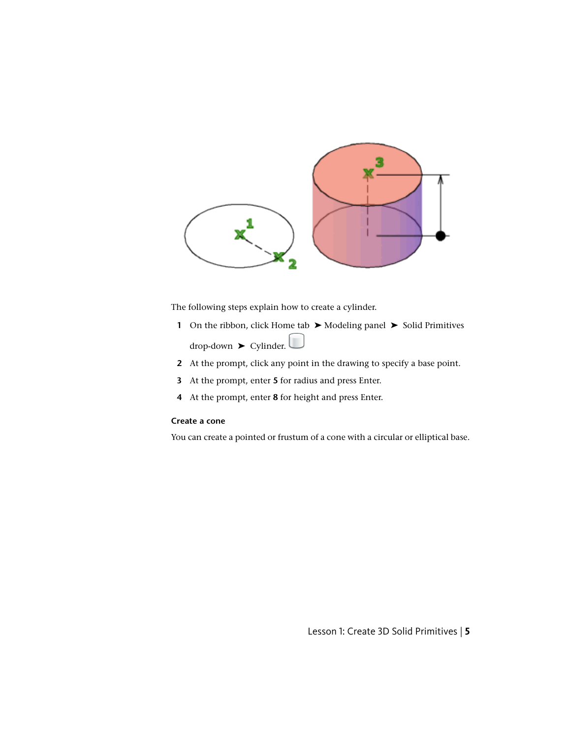

The following steps explain how to create a cylinder.

- **1** On the ribbon, click Home tab ► Modeling panel ► Solid Primitives  $drop-down$   $\triangleright$  Cylinder.
- **2** At the prompt, click any point in the drawing to specify a base point.
- **3** At the prompt, enter **5** for radius and press Enter.
- **4** At the prompt, enter **8** for height and press Enter.

### **Create a cone**

You can create a pointed or frustum of a cone with a circular or elliptical base.

Lesson 1: Create 3D Solid Primitives | **5**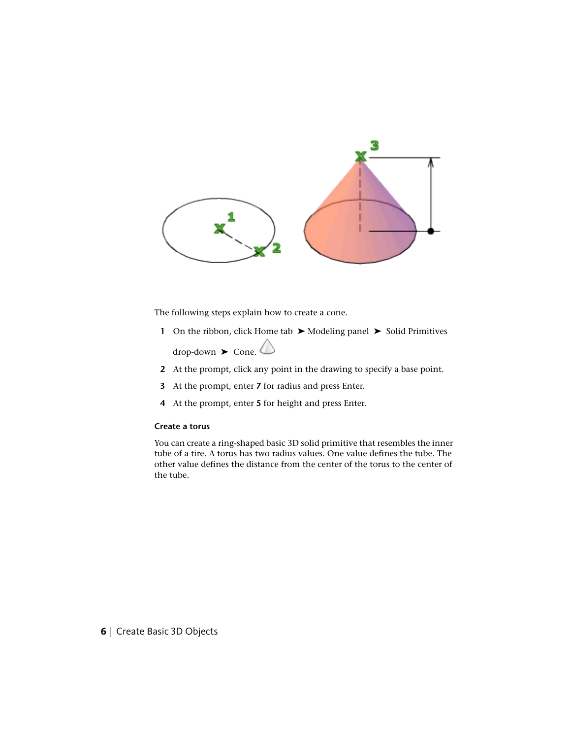

The following steps explain how to create a cone.

- **1** On the ribbon, click Home tab ► Modeling panel ► Solid Primitives  $\text{drop-down}$   $\triangleright$  Cone.
- **2** At the prompt, click any point in the drawing to specify a base point.
- **3** At the prompt, enter **7** for radius and press Enter.
- **4** At the prompt, enter **5** for height and press Enter.

#### **Create a torus**

You can create a ring-shaped basic 3D solid primitive that resembles the inner tube of a tire. A torus has two radius values. One value defines the tube. The other value defines the distance from the center of the torus to the center of the tube.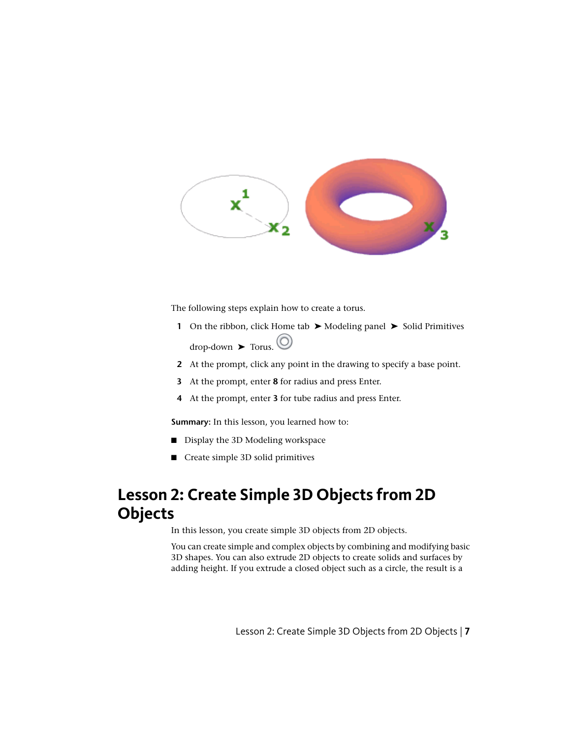

The following steps explain how to create a torus.

- **1** On the ribbon, click Home tab ▶ Modeling panel ▶ Solid Primitives  $drop-down$   $\rightarrow$  Torus.  $\circledcirc$
- **2** At the prompt, click any point in the drawing to specify a base point.
- **3** At the prompt, enter **8** for radius and press Enter.
- **4** At the prompt, enter **3** for tube radius and press Enter.

**Summary:** In this lesson, you learned how to:

- Display the 3D Modeling workspace
- Create simple 3D solid primitives

# **Lesson 2: Create Simple 3D Objects from 2D Objects**

In this lesson, you create simple 3D objects from 2D objects.

You can create simple and complex objects by combining and modifying basic 3D shapes. You can also extrude 2D objects to create solids and surfaces by adding height. If you extrude a closed object such as a circle, the result is a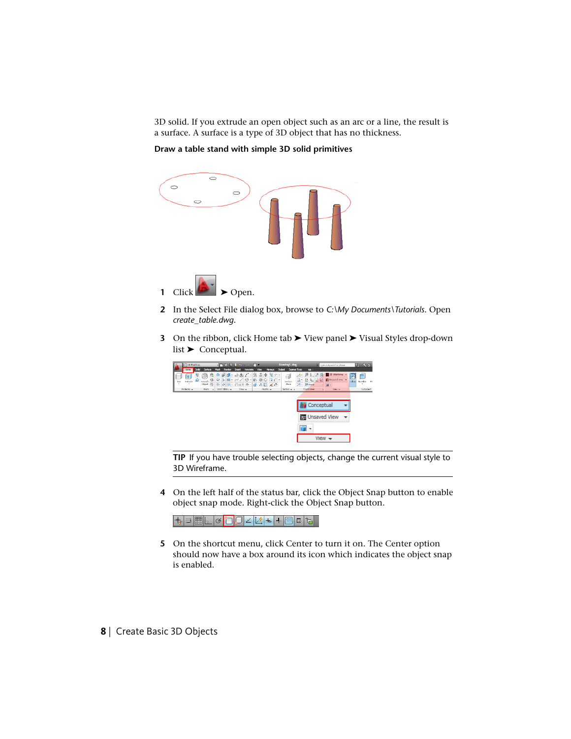3D solid. If you extrude an open object such as an arc or a line, the result is a surface. A surface is a type of 3D object that has no thickness.

**Draw a table stand with simple 3D solid primitives**



- **2** In the Select File dialog box, browse to *C:\My Documents\Tutorials*. Open *create\_table.dwg*.
- **3** On the ribbon, click Home tab ► View panel ► Visual Styles drop-down list ➤ Conceptual.



**TIP** If you have trouble selecting objects, change the current visual style to 3D Wireframe.

**4** On the left half of the status bar, click the Object Snap button to enable object snap mode. Right-click the Object Snap button.

<mark>+</mark>▣▦▁|ఆ<mark>◘</mark>口∠|丝ъ│+<mark>▩▣</mark>੮

- **5** On the shortcut menu, click Center to turn it on. The Center option should now have a box around its icon which indicates the object snap is enabled.
- **8** | Create Basic 3D Objects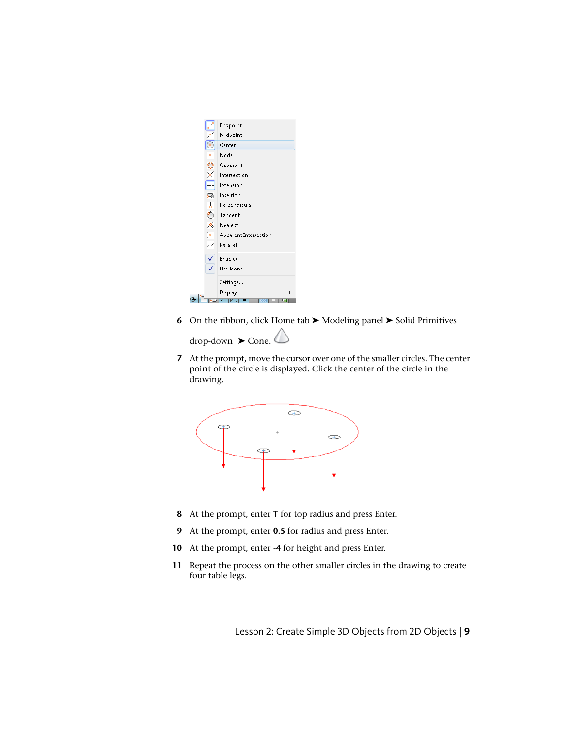

**6** On the ribbon, click Home tab ► Modeling panel ► Solid Primitives

drop-down  $▶$  Cone.  $\langle$ 

**7** At the prompt, move the cursor over one of the smaller circles. The center point of the circle is displayed. Click the center of the circle in the drawing.



- **8** At the prompt, enter **T** for top radius and press Enter.
- **9** At the prompt, enter **0.5** for radius and press Enter.
- **10** At the prompt, enter **-4** for height and press Enter.
- **11** Repeat the process on the other smaller circles in the drawing to create four table legs.

Lesson 2: Create Simple 3D Objects from 2D Objects | **9**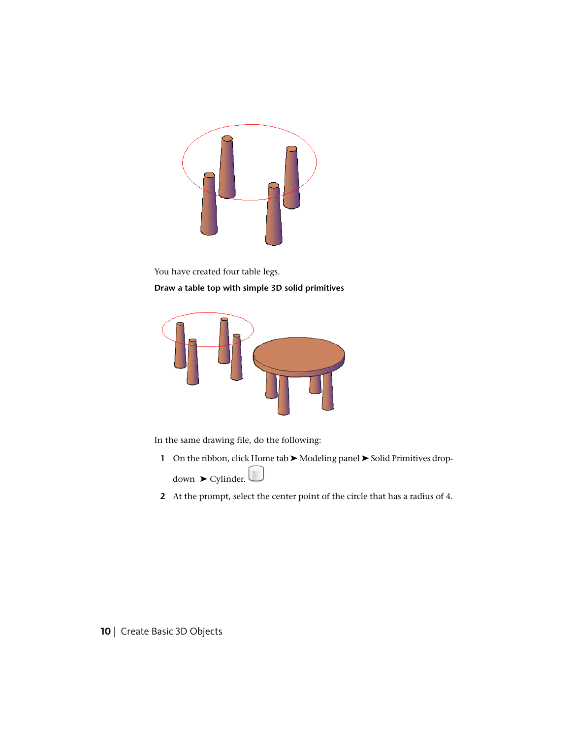

You have created four table legs. **Draw a table top with simple 3D solid primitives**



In the same drawing file, do the following:

- **1** On the ribbon, click Home tab ► Modeling panel ► Solid Primitives dropdown  $▶$  Cylinder.
- **2** At the prompt, select the center point of the circle that has a radius of 4.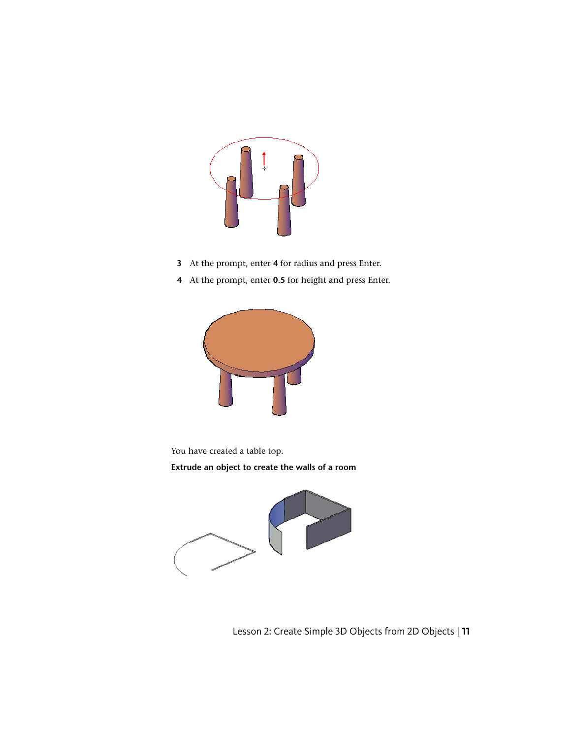

- **3** At the prompt, enter **4** for radius and press Enter.
- **4** At the prompt, enter **0.5** for height and press Enter.



You have created a table top.

**Extrude an object to create the walls of a room**



Lesson 2: Create Simple 3D Objects from 2D Objects | **11**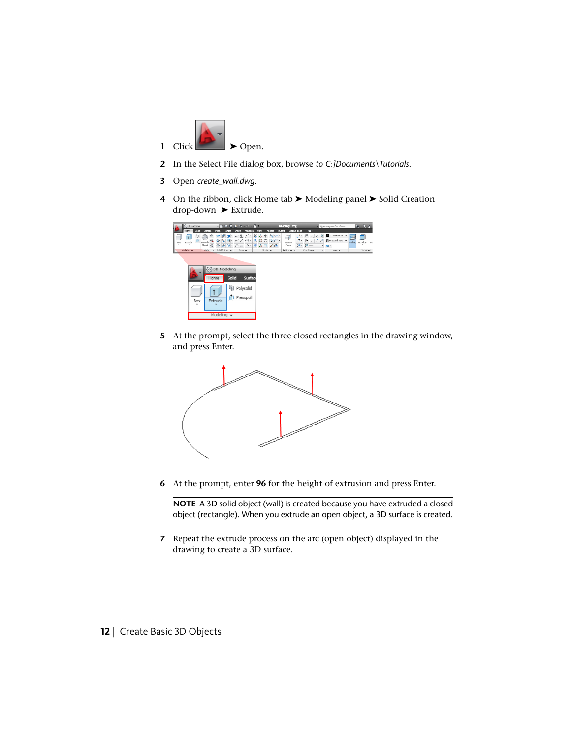

- In the Select File dialog box, browse *to C:]Documents\Tutorials*.
- Open *create\_wall.dwg*.
- On the ribbon, click Home tab ► Modeling panel ► Solid Creation drop-down ➤ Extrude.



 At the prompt, select the three closed rectangles in the drawing window, and press Enter.



At the prompt, enter **96** for the height of extrusion and press Enter.

**NOTE** A 3D solid object (wall) is created because you have extruded a closed object (rectangle). When you extrude an open object, a 3D surface is created.

 Repeat the extrude process on the arc (open object) displayed in the drawing to create a 3D surface.